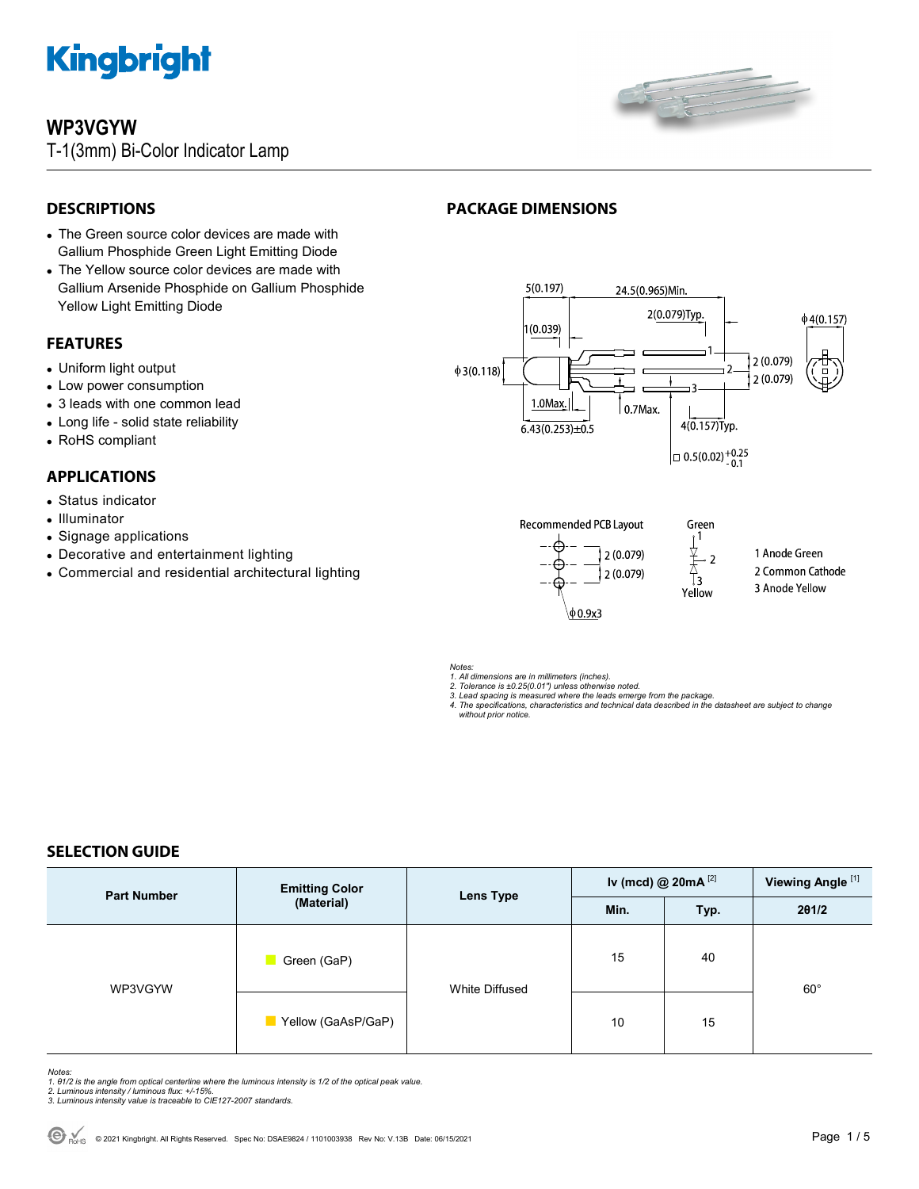

# **WP3VGYW**

T-1(3mm) Bi-Color Indicator Lamp



 $4(0.157)$ Typ.

 $\vert$  = 0.5(0.02)<sup>+0.25</sup>

ਨੈ<br>፲፺

# **DESCRIPTIONS**

- The Green source color devices are made with Gallium Phosphide Green Light Emitting Diode
- The Yellow source color devices are made with Gallium Arsenide Phosphide on Gallium Phosphide Yellow Light Emitting Diode

## **FEATURES**

- Uniform light output
- Low power consumption
- 3 leads with one common lead
- Long life solid state reliability
- RoHS compliant

## **APPLICATIONS**

- Status indicator
- Illuminator
- Signage applications
- Decorative and entertainment lighting
- Commercial and residential architectural lighting









**PACKAGE DIMENSIONS** 

 $6.43(0.253) \pm 0.5$ 

*1. All dimensions are in millimeters (inches). 2. Tolerance is ±0.25(0.01") unless otherwise noted. 3. Lead spacing is measured where the leads emerge from the package.* 

*4. The specifications, characteristics and technical data described in the datasheet are subject to change without prior notice.*

# **SELECTION GUIDE**

| <b>Part Number</b> | <b>Emitting Color</b><br>(Material) | <b>Lens Type</b> | Iv (mcd) @ $20mA$ <sup>[2]</sup> |      | Viewing Angle <sup>[1]</sup> |
|--------------------|-------------------------------------|------------------|----------------------------------|------|------------------------------|
|                    |                                     |                  | Min.                             | Typ. | 201/2                        |
| WP3VGYW            | Green (GaP)                         | White Diffused   | 15                               | 40   | $60^{\circ}$                 |
|                    | Yellow (GaAsP/GaP)                  |                  | 10                               | 15   |                              |

- Notes:<br>1. 81/2 is the angle from optical centerline where the luminous intensity is 1/2 of the optical peak value.<br>2. Luminous intensity / luminous flux: +/-15%.<br>3. Luminous intensity value is traceable to CIE127-2007 stan
- 
-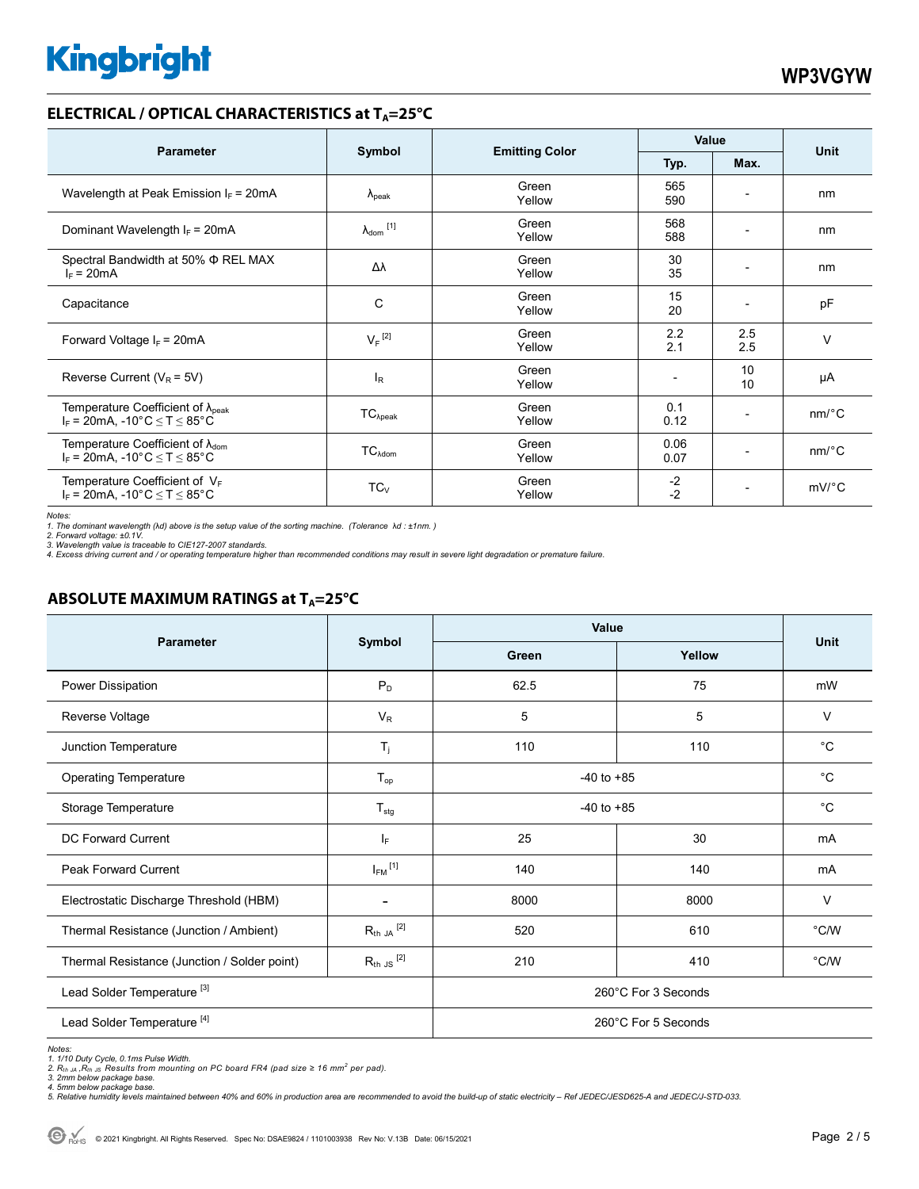### **ELECTRICAL / OPTICAL CHARACTERISTICS at T<sub>A</sub>=25°C**

| <b>Parameter</b>                                                                              | Symbol                       |                       | Value        |                              | <b>Unit</b>           |
|-----------------------------------------------------------------------------------------------|------------------------------|-----------------------|--------------|------------------------------|-----------------------|
|                                                                                               |                              | <b>Emitting Color</b> | Typ.         | Max.                         |                       |
| Wavelength at Peak Emission $I_F$ = 20mA                                                      | $\lambda_{\rm peak}$         | Green<br>Yellow       | 565<br>590   | $\overline{\phantom{0}}$     | nm                    |
| Dominant Wavelength $I_F = 20mA$                                                              | $\lambda_{\mathsf{dom}}$ [1] | Green<br>Yellow       | 568<br>588   | $\overline{\phantom{0}}$     | nm                    |
| Spectral Bandwidth at 50% $\Phi$ REL MAX<br>$I_F = 20mA$                                      | Δλ                           | Green<br>Yellow       | 30<br>35     | $\qquad \qquad \blacksquare$ | nm                    |
| Capacitance                                                                                   | C                            | Green<br>Yellow       | 15<br>20     |                              | pF                    |
| Forward Voltage $I_F$ = 20mA                                                                  | $V_F$ <sup>[2]</sup>         | Green<br>Yellow       | 2.2<br>2.1   | 2.5<br>2.5                   | v                     |
| Reverse Current ( $V_R$ = 5V)                                                                 | $I_R$                        | Green<br>Yellow       |              | 10<br>10                     | μA                    |
| Temperature Coefficient of $\lambda_{\text{peak}}$<br>$I_F$ = 20mA, -10°C $\leq T \leq 85$ °C | $TC_{\lambda peak}$          | Green<br>Yellow       | 0.1<br>0.12  | $\qquad \qquad \blacksquare$ | $nm$ <sup>o</sup> $C$ |
| Temperature Coefficient of $\lambda_{\text{dom}}$<br>$I_F$ = 20mA, -10°C $\le T \le 85$ °C    | $TC_{\lambda dom}$           | Green<br>Yellow       | 0.06<br>0.07 | $\overline{\phantom{0}}$     | $nm$ <sup>o</sup> $C$ |
| Temperature Coefficient of $V_F$<br>$I_F$ = 20mA, -10°C $\le T \le 85$ °C                     | $TC_{V}$                     | Green<br>Yellow       | $-2$<br>$-2$ | $\overline{\phantom{a}}$     | $mV$ °C               |

*Notes:* 

1. The dominant wavelength (λd) above is the setup value of the sorting machine. (Tolerance λd : ±1nm. )<br>2. Forward voltage: ±0.1V.<br>3. Wavelength value is traceable to CIE127-2007 standards.<br>4. Excess driving current and

# **ABSOLUTE MAXIMUM RATINGS at T<sub>A</sub>=25°C**

| <b>Parameter</b>                             | Symbol                   | <b>Value</b>        |        |                |
|----------------------------------------------|--------------------------|---------------------|--------|----------------|
|                                              |                          | Green               | Yellow | <b>Unit</b>    |
| Power Dissipation                            | $P_D$                    | 62.5                | 75     | mW             |
| Reverse Voltage                              | $V_R$                    | 5                   | 5      | $\vee$         |
| Junction Temperature                         | $T_j$                    | 110                 | 110    | $^{\circ}C$    |
| <b>Operating Temperature</b>                 | $T_{op}$                 | $-40$ to $+85$      |        | $^{\circ}C$    |
| Storage Temperature                          | $T_{\text{stg}}$         | $-40$ to $+85$      |        | $^{\circ}C$    |
| DC Forward Current                           | ΙF                       | 25                  | 30     | mA             |
| <b>Peak Forward Current</b>                  | $I_{FM}$ <sup>[1]</sup>  | 140                 | 140    | mA             |
| Electrostatic Discharge Threshold (HBM)      | $\overline{\phantom{a}}$ | 8000                | 8000   | V              |
| Thermal Resistance (Junction / Ambient)      | $R_{th}$ JA $^{[2]}$     | 520                 | 610    | $^{\circ}$ C/W |
| Thermal Resistance (Junction / Solder point) | $R_{th}$ JS $^{[2]}$     | 210                 | 410    | $^{\circ}$ C/W |
| Lead Solder Temperature <sup>[3]</sup>       | 260°C For 3 Seconds      |                     |        |                |
| Lead Solder Temperature <sup>[4]</sup>       |                          | 260°C For 5 Seconds |        |                |

*Notes: 1. 1/10 Duty Cycle, 0.1ms Pulse Width.* 

*2. Rth JA ,Rth JS Results from mounting on PC board FR4 (pad size ≥ 16 mm<sup>2</sup> per pad). 3. 2mm below package base. 4. 5mm below package base.* 

*5. Relative humidity levels maintained between 40% and 60% in production area are recommended to avoid the build-up of static electricity – Ref JEDEC/JESD625-A and JEDEC/J-STD-033.*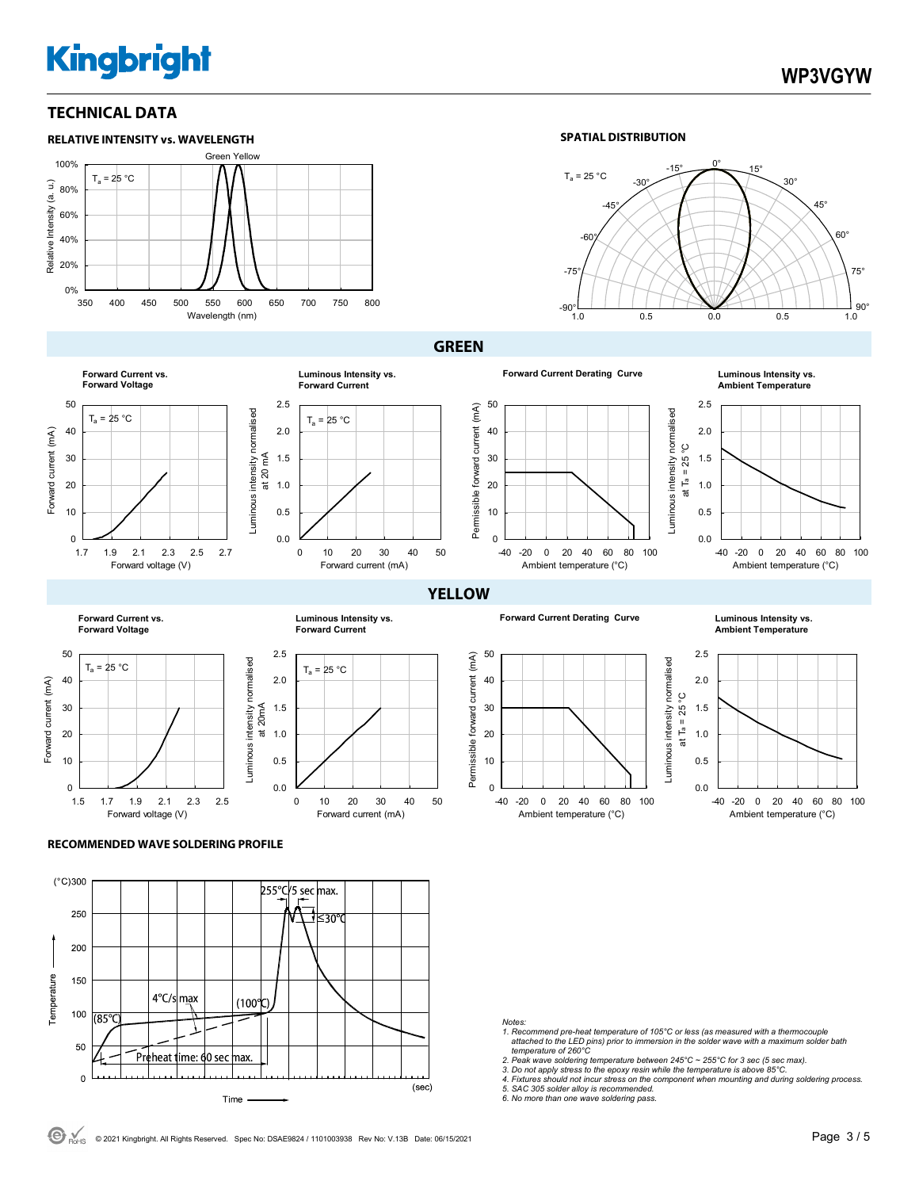## **TECHNICAL DATA**



#### **SPATIAL DISTRIBUTION**



#### **GREEN**



**Luminous Intensity vs.**<br>Ambient Temperature



**Forward Current vs.** 

0.0 0.5 1.0 1.5 2.0 2.5 0 10 20 30 40 50  $T_a = 25 °C$ Forward current (mA) Luminous intensity normalised Luminous intensity normalised<br>at 20 mA **Luminous Intensity vs. Forward Current**

 $T_a = 25 °C$ 

Forward current (mA)







**Forward Current Derating Curve Luminous Intensity vs.** 

**Ambient Temperature**













#### **RECOMMENDED WAVE SOLDERING PROFILE**



*Notes:* 

- *1. Recommend pre-heat temperature of 105°C or less (as measured with a thermocouple attached to the LED pins) prior to immersion in the solder wave with a maximum solder bath temperature of 260°C*
- 
- 
- 2. Peak wave soldering temperature between 245°C ~ 255°C for 3 sec (5 sec max).<br>3. Do not apply stress to the epoxy resin while the temperature is above 85°C.<br>4. Fixtures should not incur stress on the component when moun

*5. SAC 305 solder alloy is recommended. 6. No more than one wave soldering pass.*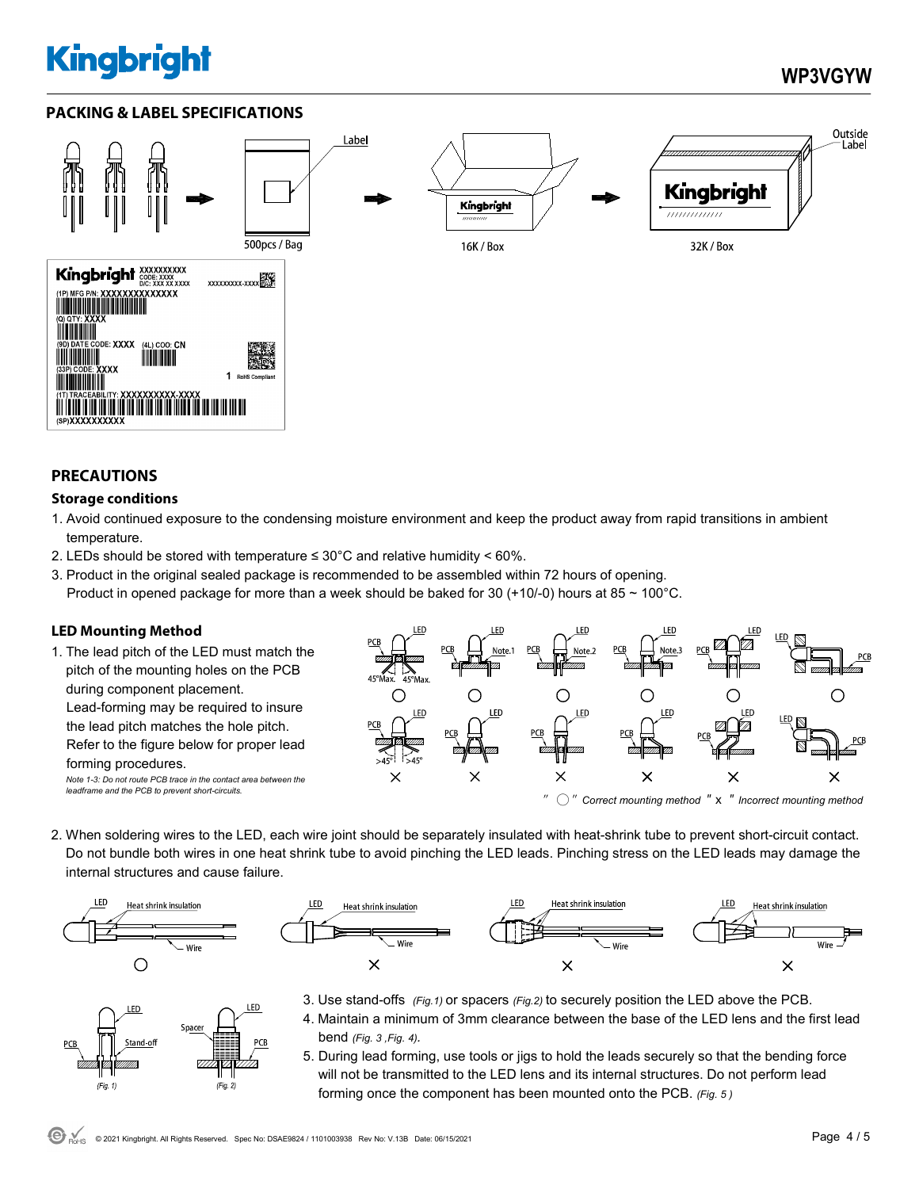# **WP3VGYW**

Outside

**Label** 

## **PACKING & LABEL SPECIFICATIONS**



### **PRECAUTIONS**

#### **Storage conditions**

- 1. Avoid continued exposure to the condensing moisture environment and keep the product away from rapid transitions in ambient temperature.
- 2. LEDs should be stored with temperature  $\leq 30^{\circ}$ C and relative humidity < 60%.
- 3. Product in the original sealed package is recommended to be assembled within 72 hours of opening. Product in opened package for more than a week should be baked for 30 (+10/-0) hours at 85  $\sim$  100°C.

## **LED Mounting Method**

1. The lead pitch of the LED must match the pitch of the mounting holes on the PCB during component placement. Lead-forming may be required to insure the lead pitch matches the hole pitch. Refer to the figure below for proper lead forming procedures. *Note 1-3: Do not route PCB trace in the contact area between the leadframe and the PCB to prevent short-circuits.* 



2. When soldering wires to the LED, each wire joint should be separately insulated with heat-shrink tube to prevent short-circuit contact. Do not bundle both wires in one heat shrink tube to avoid pinching the LED leads. Pinching stress on the LED leads may damage the internal structures and cause failure.



LED

 $(Fig. 1)$ 

Spacer



- 3. Use stand-offs *(Fig.1)* or spacers *(Fig.2)* to securely position the LED above the PCB.
- 4. Maintain a minimum of 3mm clearance between the base of the LED lens and the first lead bend *(Fig. 3 ,Fig. 4).*
- 5. During lead forming, use tools or jigs to hold the leads securely so that the bending force will not be transmitted to the LED lens and its internal structures. Do not perform lead forming once the component has been mounted onto the PCB. *(Fig. 5 )*

LED

 $(Fig. 2)$